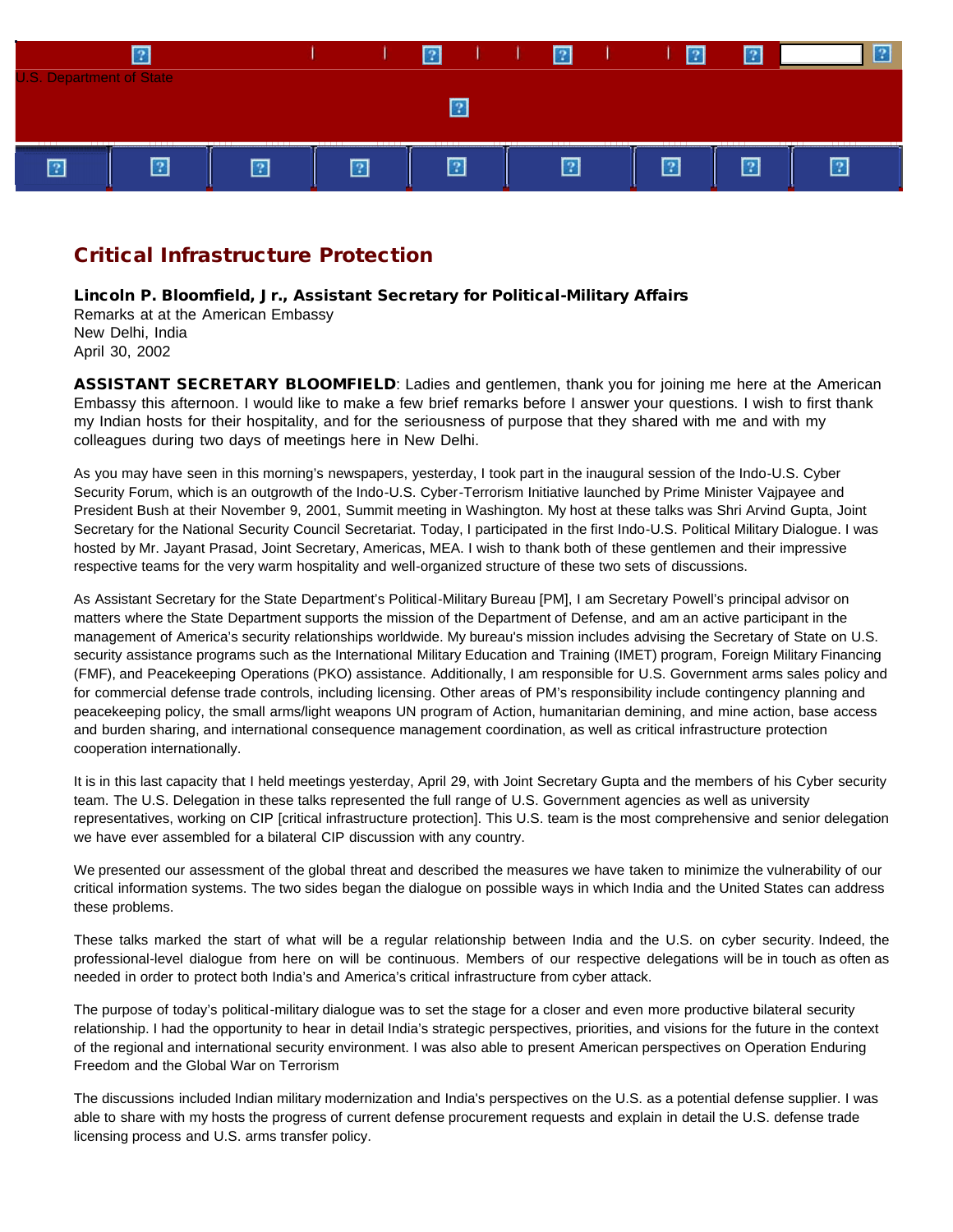

# Critical Infrastructure Protection

Lincoln P. Bloomfield, Jr., Assistant Secretary for Political-Military Affairs Remarks at at the American Embassy New Delhi, India April 30, 2002

ASSISTANT SECRETARY BLOOMFIELD: Ladies and gentlemen, thank you for joining me here at the American Embassy this afternoon. I would like to make a few brief remarks before I answer your questions. I wish to first thank my Indian hosts for their hospitality, and for the seriousness of purpose that they shared with me and with my colleagues during two days of meetings here in New Delhi.

As you may have seen in this morning's newspapers, yesterday, I took part in the inaugural session of the Indo-U.S. Cyber Security Forum, which is an outgrowth of the Indo-U.S. Cyber-Terrorism Initiative launched by Prime Minister Vajpayee and President Bush at their November 9, 2001, Summit meeting in Washington. My host at these talks was Shri Arvind Gupta, Joint Secretary for the National Security Council Secretariat. Today, I participated in the first Indo-U.S. Political Military Dialogue. I was hosted by Mr. Jayant Prasad, Joint Secretary, Americas, MEA. I wish to thank both of these gentlemen and their impressive respective teams for the very warm hospitality and well-organized structure of these two sets of discussions.

As Assistant Secretary for the State Department's Political-Military Bureau [PM], I am Secretary Powell's principal advisor on matters where the State Department supports the mission of the Department of Defense, and am an active participant in the management of America's security relationships worldwide. My bureau's mission includes advising the Secretary of State on U.S. security assistance programs such as the International Military Education and Training (IMET) program, Foreign Military Financing (FMF), and Peacekeeping Operations (PKO) assistance. Additionally, I am responsible for U.S. Government arms sales policy and for commercial defense trade controls, including licensing. Other areas of PM's responsibility include contingency planning and peacekeeping policy, the small arms/light weapons UN program of Action, humanitarian demining, and mine action, base access and burden sharing, and international consequence management coordination, as well as critical infrastructure protection cooperation internationally.

It is in this last capacity that I held meetings yesterday, April 29, with Joint Secretary Gupta and the members of his Cyber security team. The U.S. Delegation in these talks represented the full range of U.S. Government agencies as well as university representatives, working on CIP [critical infrastructure protection]. This U.S. team is the most comprehensive and senior delegation we have ever assembled for a bilateral CIP discussion with any country.

We presented our assessment of the global threat and described the measures we have taken to minimize the vulnerability of our critical information systems. The two sides began the dialogue on possible ways in which India and the United States can address these problems.

These talks marked the start of what will be a regular relationship between India and the U.S. on cyber security. Indeed, the professional-level dialogue from here on will be continuous. Members of our respective delegations will be in touch as often as needed in order to protect both India's and America's critical infrastructure from cyber attack.

The purpose of today's political-military dialogue was to set the stage for a closer and even more productive bilateral security relationship. I had the opportunity to hear in detail India's strategic perspectives, priorities, and visions for the future in the context of the regional and international security environment. I was also able to present American perspectives on Operation Enduring Freedom and the Global War on Terrorism

The discussions included Indian military modernization and India's perspectives on the U.S. as a potential defense supplier. I was able to share with my hosts the progress of current defense procurement requests and explain in detail the U.S. defense trade licensing process and U.S. arms transfer policy.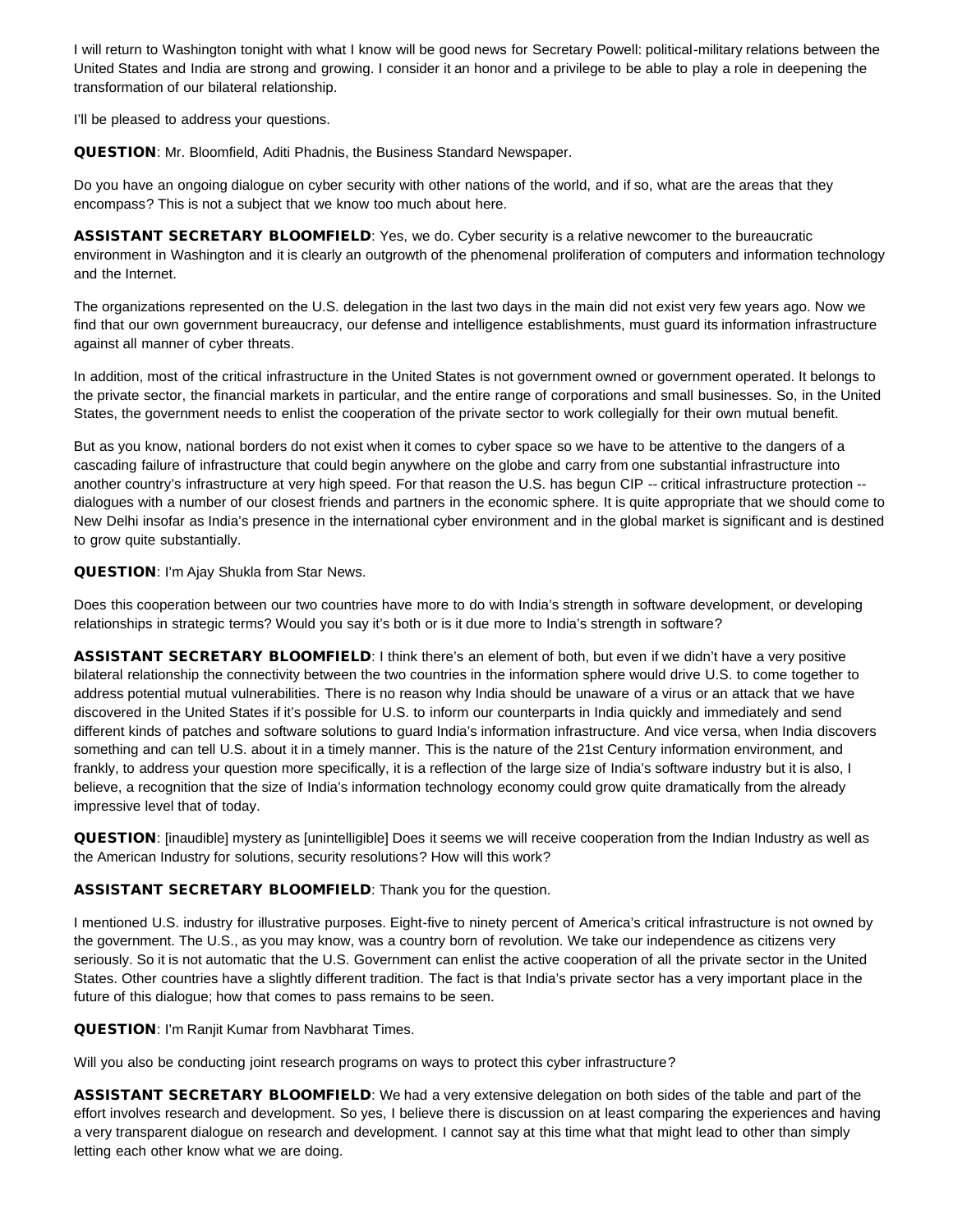I will return to Washington tonight with what I know will be good news for Secretary Powell: political-military relations between the United States and India are strong and growing. I consider it an honor and a privilege to be able to play a role in deepening the transformation of our bilateral relationship.

I'll be pleased to address your questions.

QUESTION: Mr. Bloomfield, Aditi Phadnis, the Business Standard Newspaper.

Do you have an ongoing dialogue on cyber security with other nations of the world, and if so, what are the areas that they encompass? This is not a subject that we know too much about here.

ASSISTANT SECRETARY BLOOMFIELD: Yes, we do. Cyber security is a relative newcomer to the bureaucratic environment in Washington and it is clearly an outgrowth of the phenomenal proliferation of computers and information technology and the Internet.

The organizations represented on the U.S. delegation in the last two days in the main did not exist very few years ago. Now we find that our own government bureaucracy, our defense and intelligence establishments, must guard its information infrastructure against all manner of cyber threats.

In addition, most of the critical infrastructure in the United States is not government owned or government operated. It belongs to the private sector, the financial markets in particular, and the entire range of corporations and small businesses. So, in the United States, the government needs to enlist the cooperation of the private sector to work collegially for their own mutual benefit.

But as you know, national borders do not exist when it comes to cyber space so we have to be attentive to the dangers of a cascading failure of infrastructure that could begin anywhere on the globe and carry from one substantial infrastructure into another country's infrastructure at very high speed. For that reason the U.S. has begun CIP -- critical infrastructure protection - dialogues with a number of our closest friends and partners in the economic sphere. It is quite appropriate that we should come to New Delhi insofar as India's presence in the international cyber environment and in the global market is significant and is destined to grow quite substantially.

QUESTION: I'm Ajay Shukla from Star News.

Does this cooperation between our two countries have more to do with India's strength in software development, or developing relationships in strategic terms? Would you say it's both or is it due more to India's strength in software?

ASSISTANT SECRETARY BLOOMFIELD: I think there's an element of both, but even if we didn't have a very positive bilateral relationship the connectivity between the two countries in the information sphere would drive U.S. to come together to address potential mutual vulnerabilities. There is no reason why India should be unaware of a virus or an attack that we have discovered in the United States if it's possible for U.S. to inform our counterparts in India quickly and immediately and send different kinds of patches and software solutions to guard India's information infrastructure. And vice versa, when India discovers something and can tell U.S. about it in a timely manner. This is the nature of the 21st Century information environment, and frankly, to address your question more specifically, it is a reflection of the large size of India's software industry but it is also, I believe, a recognition that the size of India's information technology economy could grow quite dramatically from the already impressive level that of today.

QUESTION: [inaudible] mystery as [unintelligible] Does it seems we will receive cooperation from the Indian Industry as well as the American Industry for solutions, security resolutions? How will this work?

## ASSISTANT SECRETARY BLOOMFIELD: Thank you for the question.

I mentioned U.S. industry for illustrative purposes. Eight-five to ninety percent of America's critical infrastructure is not owned by the government. The U.S., as you may know, was a country born of revolution. We take our independence as citizens very seriously. So it is not automatic that the U.S. Government can enlist the active cooperation of all the private sector in the United States. Other countries have a slightly different tradition. The fact is that India's private sector has a very important place in the future of this dialogue; how that comes to pass remains to be seen.

QUESTION: I'm Ranjit Kumar from Navbharat Times.

Will you also be conducting joint research programs on ways to protect this cyber infrastructure?

ASSISTANT SECRETARY BLOOMFIELD: We had a very extensive delegation on both sides of the table and part of the effort involves research and development. So yes, I believe there is discussion on at least comparing the experiences and having a very transparent dialogue on research and development. I cannot say at this time what that might lead to other than simply letting each other know what we are doing.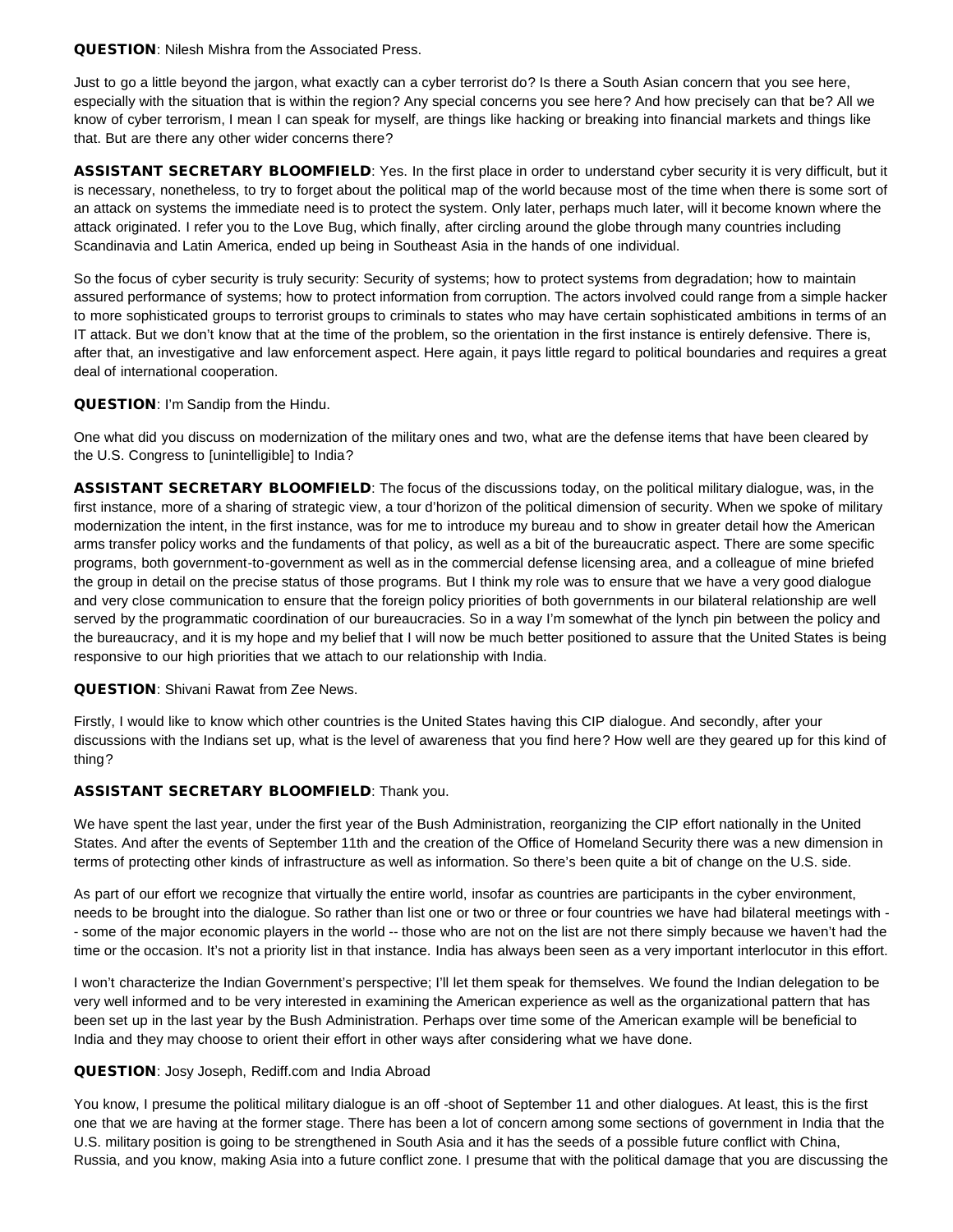#### QUESTION: Nilesh Mishra from the Associated Press.

Just to go a little beyond the jargon, what exactly can a cyber terrorist do? Is there a South Asian concern that you see here, especially with the situation that is within the region? Any special concerns you see here? And how precisely can that be? All we know of cyber terrorism, I mean I can speak for myself, are things like hacking or breaking into financial markets and things like that. But are there any other wider concerns there?

ASSISTANT SECRETARY BLOOMFIELD: Yes. In the first place in order to understand cyber security it is very difficult, but it is necessary, nonetheless, to try to forget about the political map of the world because most of the time when there is some sort of an attack on systems the immediate need is to protect the system. Only later, perhaps much later, will it become known where the attack originated. I refer you to the Love Bug, which finally, after circling around the globe through many countries including Scandinavia and Latin America, ended up being in Southeast Asia in the hands of one individual.

So the focus of cyber security is truly security: Security of systems; how to protect systems from degradation; how to maintain assured performance of systems; how to protect information from corruption. The actors involved could range from a simple hacker to more sophisticated groups to terrorist groups to criminals to states who may have certain sophisticated ambitions in terms of an IT attack. But we don't know that at the time of the problem, so the orientation in the first instance is entirely defensive. There is, after that, an investigative and law enforcement aspect. Here again, it pays little regard to political boundaries and requires a great deal of international cooperation.

## QUESTION: I'm Sandip from the Hindu.

One what did you discuss on modernization of the military ones and two, what are the defense items that have been cleared by the U.S. Congress to [unintelligible] to India?

ASSISTANT SECRETARY BLOOMFIELD: The focus of the discussions today, on the political military dialogue, was, in the first instance, more of a sharing of strategic view, a tour d'horizon of the political dimension of security. When we spoke of military modernization the intent, in the first instance, was for me to introduce my bureau and to show in greater detail how the American arms transfer policy works and the fundaments of that policy, as well as a bit of the bureaucratic aspect. There are some specific programs, both government-to-government as well as in the commercial defense licensing area, and a colleague of mine briefed the group in detail on the precise status of those programs. But I think my role was to ensure that we have a very good dialogue and very close communication to ensure that the foreign policy priorities of both governments in our bilateral relationship are well served by the programmatic coordination of our bureaucracies. So in a way I'm somewhat of the lynch pin between the policy and the bureaucracy, and it is my hope and my belief that I will now be much better positioned to assure that the United States is being responsive to our high priorities that we attach to our relationship with India.

## QUESTION: Shivani Rawat from Zee News.

Firstly, I would like to know which other countries is the United States having this CIP dialogue. And secondly, after your discussions with the Indians set up, what is the level of awareness that you find here? How well are they geared up for this kind of thing?

## ASSISTANT SECRETARY BLOOMFIELD: Thank you.

We have spent the last year, under the first year of the Bush Administration, reorganizing the CIP effort nationally in the United States. And after the events of September 11th and the creation of the Office of Homeland Security there was a new dimension in terms of protecting other kinds of infrastructure as well as information. So there's been quite a bit of change on the U.S. side.

As part of our effort we recognize that virtually the entire world, insofar as countries are participants in the cyber environment, needs to be brought into the dialogue. So rather than list one or two or three or four countries we have had bilateral meetings with - - some of the major economic players in the world -- those who are not on the list are not there simply because we haven't had the time or the occasion. It's not a priority list in that instance. India has always been seen as a very important interlocutor in this effort.

I won't characterize the Indian Government's perspective; I'll let them speak for themselves. We found the Indian delegation to be very well informed and to be very interested in examining the American experience as well as the organizational pattern that has been set up in the last year by the Bush Administration. Perhaps over time some of the American example will be beneficial to India and they may choose to orient their effort in other ways after considering what we have done.

#### QUESTION: Josy Joseph, Rediff.com and India Abroad

You know, I presume the political military dialogue is an off -shoot of September 11 and other dialogues. At least, this is the first one that we are having at the former stage. There has been a lot of concern among some sections of government in India that the U.S. military position is going to be strengthened in South Asia and it has the seeds of a possible future conflict with China, Russia, and you know, making Asia into a future conflict zone. I presume that with the political damage that you are discussing the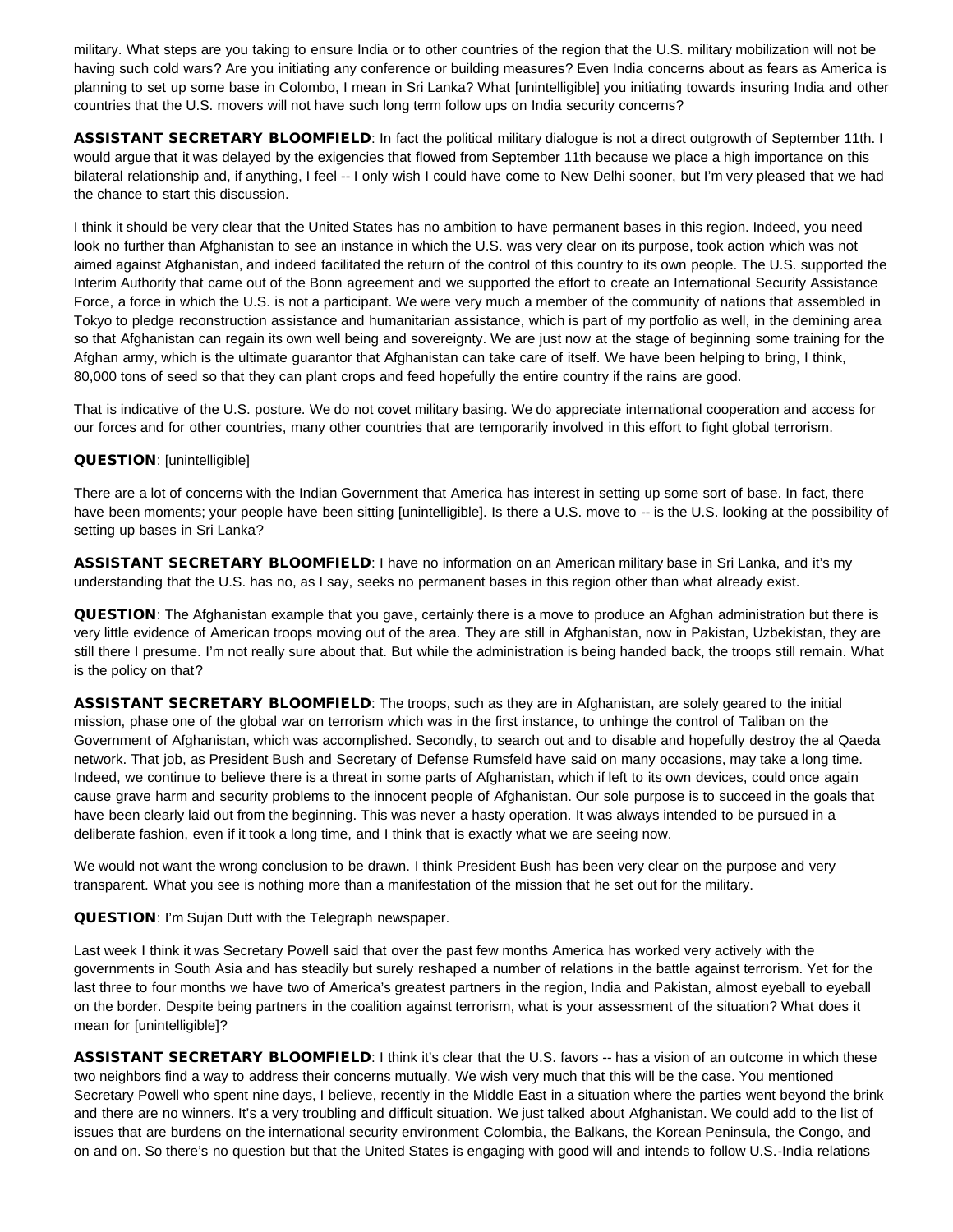military. What steps are you taking to ensure India or to other countries of the region that the U.S. military mobilization will not be having such cold wars? Are you initiating any conference or building measures? Even India concerns about as fears as America is planning to set up some base in Colombo, I mean in Sri Lanka? What [unintelligible] you initiating towards insuring India and other countries that the U.S. movers will not have such long term follow ups on India security concerns?

ASSISTANT SECRETARY BLOOMFIELD: In fact the political military dialogue is not a direct outgrowth of September 11th. I would argue that it was delayed by the exigencies that flowed from September 11th because we place a high importance on this bilateral relationship and, if anything, I feel -- I only wish I could have come to New Delhi sooner, but I'm very pleased that we had the chance to start this discussion.

I think it should be very clear that the United States has no ambition to have permanent bases in this region. Indeed, you need look no further than Afghanistan to see an instance in which the U.S. was very clear on its purpose, took action which was not aimed against Afghanistan, and indeed facilitated the return of the control of this country to its own people. The U.S. supported the Interim Authority that came out of the Bonn agreement and we supported the effort to create an International Security Assistance Force, a force in which the U.S. is not a participant. We were very much a member of the community of nations that assembled in Tokyo to pledge reconstruction assistance and humanitarian assistance, which is part of my portfolio as well, in the demining area so that Afghanistan can regain its own well being and sovereignty. We are just now at the stage of beginning some training for the Afghan army, which is the ultimate guarantor that Afghanistan can take care of itself. We have been helping to bring, I think, 80,000 tons of seed so that they can plant crops and feed hopefully the entire country if the rains are good.

That is indicative of the U.S. posture. We do not covet military basing. We do appreciate international cooperation and access for our forces and for other countries, many other countries that are temporarily involved in this effort to fight global terrorism.

#### QUESTION: [unintelligible]

There are a lot of concerns with the Indian Government that America has interest in setting up some sort of base. In fact, there have been moments; your people have been sitting [unintelligible]. Is there a U.S. move to -- is the U.S. looking at the possibility of setting up bases in Sri Lanka?

ASSISTANT SECRETARY BLOOMFIELD: I have no information on an American military base in Sri Lanka, and it's my understanding that the U.S. has no, as I say, seeks no permanent bases in this region other than what already exist.

QUESTION: The Afghanistan example that you gave, certainly there is a move to produce an Afghan administration but there is very little evidence of American troops moving out of the area. They are still in Afghanistan, now in Pakistan, Uzbekistan, they are still there I presume. I'm not really sure about that. But while the administration is being handed back, the troops still remain. What is the policy on that?

ASSISTANT SECRETARY BLOOMFIELD: The troops, such as they are in Afghanistan, are solely geared to the initial mission, phase one of the global war on terrorism which was in the first instance, to unhinge the control of Taliban on the Government of Afghanistan, which was accomplished. Secondly, to search out and to disable and hopefully destroy the al Qaeda network. That job, as President Bush and Secretary of Defense Rumsfeld have said on many occasions, may take a long time. Indeed, we continue to believe there is a threat in some parts of Afghanistan, which if left to its own devices, could once again cause grave harm and security problems to the innocent people of Afghanistan. Our sole purpose is to succeed in the goals that have been clearly laid out from the beginning. This was never a hasty operation. It was always intended to be pursued in a deliberate fashion, even if it took a long time, and I think that is exactly what we are seeing now.

We would not want the wrong conclusion to be drawn. I think President Bush has been very clear on the purpose and very transparent. What you see is nothing more than a manifestation of the mission that he set out for the military.

QUESTION: I'm Sujan Dutt with the Telegraph newspaper.

Last week I think it was Secretary Powell said that over the past few months America has worked very actively with the governments in South Asia and has steadily but surely reshaped a number of relations in the battle against terrorism. Yet for the last three to four months we have two of America's greatest partners in the region, India and Pakistan, almost eyeball to eyeball on the border. Despite being partners in the coalition against terrorism, what is your assessment of the situation? What does it mean for [unintelligible]?

ASSISTANT SECRETARY BLOOMFIELD: I think it's clear that the U.S. favors -- has a vision of an outcome in which these two neighbors find a way to address their concerns mutually. We wish very much that this will be the case. You mentioned Secretary Powell who spent nine days, I believe, recently in the Middle East in a situation where the parties went beyond the brink and there are no winners. It's a very troubling and difficult situation. We just talked about Afghanistan. We could add to the list of issues that are burdens on the international security environment Colombia, the Balkans, the Korean Peninsula, the Congo, and on and on. So there's no question but that the United States is engaging with good will and intends to follow U.S.-India relations